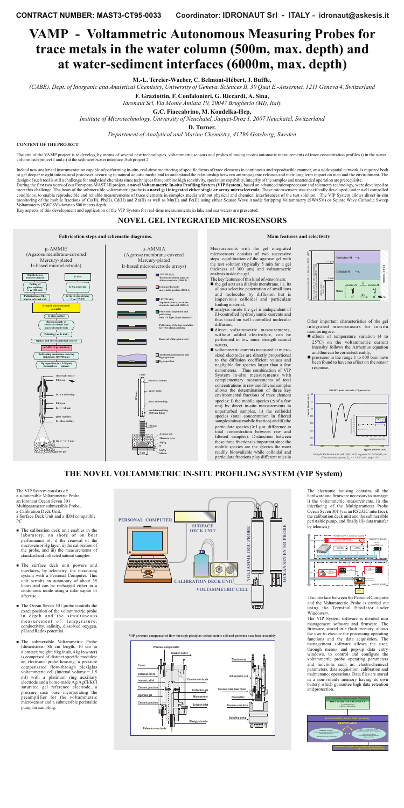# **VAMP - Voltammetric Autonomous Measuring Probes for trace metals in the water column (500m, max. depth) and at water-sediment interfaces (6000m, max. depth)**

#### **CONTENTOFTHEPROJECT**

The aim of the VAMP project is to develop, by means of several new technologies, voltammetric sensors and probes allowing in-situ automatic measurements of trace concentration profiles i) in the water column -sub project 1 and ii) at the sediment-waterinterface -Sub project 2.

Indeed new analytical instrumentation capable of performing in-situ, real-time monitoring of specific forms of trace elements in continuous and reproducible manner, on a wide spatial network, is required both to get deeper insight into natural processes occurring in natural aquatic media and to understand the relationship between anthropogenic releases and their long term impact on man and the environment. The design of such tool is still a challenge for analytical chemists since techniques that combine high sensitivity, speciation capability, integrity of the samples and unattended operation are prerequisite.

During the first two years of our European MAST III project, a **novel Voltammetric In-situ Profiling System (VIP System)**, based on advanced microprocessor and telemetry technology, were developed to meet this challenge. The heart of the submersible voltammetric probe is a **novel gel integrated either single or array microelectrode**. These microsensors was specifically developed, under well controlled conditions, to enable reproducible and reliable measurements of trace elements in complex media without physical and chemical interferences of the test solution. The VIP System allows direct in-situ monitoring of the mobile fractions of Cu(II), Pb(II), Cd(II) and Zn(II) as well as Mn(II) and Fe(II) using either Square Wave Anodic Stripping Voltammetry (SWASV) or Square Wave Cathodic Sweep Voltammetry (SWCSV) down to 500meters depth.

- $\blacksquare$  the gel acts as a dialysis membrane, i.e. its allows selective penetration of small ions and molecules by diffusion but is impervious colloidal and particulate fouling material,
- analysis inside the gel is independent of ill-controlled hydrodynamic currents and thus based on well controlled molecular diffusion,
- direct voltammetric measurements, without added electrolyte, can be performed in low ionic strength natural waters,
- voltammetric currents measured at microsized electrodes are directly proportional to the diffusion coefficient values and negligible for species larger than a few nanometers. Thus combination of VIP System in-situ measurements with complementary measurements of total concentrations in raw and filtered samples allows the determination of three key environmental fractions of trace element species: i) the mobile species ( $\leq$  of a few nm) by direct in-situ measurements in unperturbed samples, ii) the colloidal species (total concentration in filtered samples minus mobile fraction) and iii) the particulate species  $(> 1 \mu m)$ ; difference in total concentration between raw and filtered samples). Distinction between these three fractions is important since the mobile species are the species the most readily bioavailable while colloidal and particulate fractions play different roles in

Key aspects of this development and application of the VIP System for real-time measurements in lake and sea waters are presented.

# **NOVEL GEL INTEGRATED MICROSENSORS**

**Fabrication** steps and schematic diagrams. **Main** *Main* **Exercise 2 Main Main** *Main* **Main** *selectivity* 

Measurements with the gel integrated microsensors consists of two successive



steps: equilibration of the agarose gel with the test solution (typically 5 min for a gel thickness of 300 µm) and voltammetric analysisinside the gel.

The key features of this kind of sensors are:

- **n** The calibration deck unit enables in the laboratory, on shore or on boat performance of: i) the renewal of the microsensor Hg layer, ii) the calibration of the probe, and iii) the measurements of standard and collected natural samples.
- **n** The surface deck unit powers and interfaces, by telemetry, the measuring system with a Personal Computer. This unit permits an autonomy of about 35 hours and can be recharged either in a continuous mode using a solar captor or after use.
- The Ocean Seven 301 probe controls the exact position of the voltammetric probe in depth and the simultaneous measurement of: temperature, conductivity, salinity, dissolved oxygen, pH and Redox potential.
- n The submersible Voltammetric Probe (dimensions: 86 cm length, 10 cm in diameter; weight: 8 kg in air, 4 kg in water) is comprised of distinct specific modules: an electronic probe housing, a pressure compensated flow-through plexiglas voltammetric cell (internal volume = 1.5 ml) with a platinum ring auxiliary electrode and a home-made Ag/AgCl/KCl saturated gel reference electrode, a pressure case base incorporating the preamplifier for the voltammetric microsensor and a submersible peristaltic pump forsampling.

µ-AMMIA (Agarose membrane-covered

µ-AMMIE (Agarose membrane-covered

# **THE NOVEL VOLTAMMETRIC IN-SITU PROFILING SYSTEM (VIP System)**

The VIP System consists of: a submersible Voltammetric Probe, an Idronaut Ocean Seven 301 Multiparameter submersible Probe, a Calibration Deck Unit, a Surface Deck Unit and a IBM compatible PC

- $\blacksquare$  effects of temperature variation (4 to  $25^{\circ}$ C) on the voltammetric current intensity follows the Arrhenius equation and thus can be corrected readily,
- $\blacksquare$  pressures in the range 1 to 600 bars have been found to have no effect on the sensor response.

The interface between the Personal Computer and the Voltammetric Probe is carried out using the Terminal Emulator under Windows™.

**VIP pressure compensated flow-through plexiglas voltammetric cell and pressure case base assembly**



The electronic housing contains all the hardware and firmware necessary to manage: i) the voltammetric measurements, ii) the interfacing of the Multiparameter Probe Ocean Seven 301 (via an RS232C interface), the calibration deck unit and the submersible peristaltic pump, and finally iii) data transfer by telemetry.

The VIP System software is divided into management software and firmware. The firmware, stored in a flash memory, allows the user to execute the processing operating functions and the data acquisition. The management software allows the user, through menus and pop-up data entry windows, to control and configure the voltammetric probe operating parameters and functions such as: electrochemical parameters, data acquisition, calibration and maintenance operations. Data files are stored in a non-volatile memory having its own battery which guarantee high data retention and protection.









Other important characteristics of the gel integrated microsensors for in-situ monitoring are:

**M.-L. Tercier-Waeber, C. Belmont-Hébert, J. Buffle,**

(CABE), Dept. of Inorganic and Analytical Chemistry, University of Geneva, Sciences II, 30 Quai E.-Ansermet, 1211 Geneva 4, Switzerland

**F. Graziottin, F. Confalonieri, G. Riccardi, A. Sina,**

**G.C. Fiaccabrino, M. Koudelka-Hep,**

**D. Turner.**

*Idronaut Srl, Via Monte Amiata 10, 20047 Brugherio (MI), Italy*

*Institute of Microtechnology, University of Neuchatel, Jaquet-Droz 1, 2007 Neuchatel, Switzerland*

*Department of Analytical and Marine Chemistry, 41296 Goteborg, Sweden*